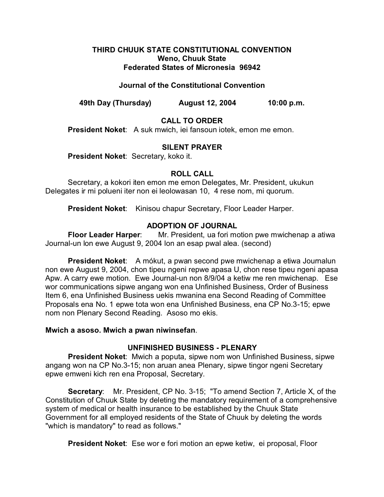#### **THIRD CHUUK STATE CONSTITUTIONAL CONVENTION Weno, Chuuk State Federated States of Micronesia 96942**

## **Journal of the Constitutional Convention**

**49th Day (Thursday) August 12, 2004 10:00 p.m.**

# **CALL TO ORDER**

**President Noket**: A suk mwich, iei fansoun iotek, emon me emon.

#### **SILENT PRAYER**

**President Noket**: Secretary, koko it.

#### **ROLL CALL**

Secretary, a kokori iten emon me emon Delegates, Mr. President, ukukun Delegates ir mi polueni iter non ei leolowasan 10, 4 rese nom, mi quorum.

**President Noket**: Kinisou chapur Secretary, Floor Leader Harper.

# **ADOPTION OF JOURNAL**

**Floor Leader Harper**: Mr. President, ua fori motion pwe mwichenap a atiwa Journal-un lon ewe August 9, 2004 lon an esap pwal alea. (second)

**President Noket**: A mókut, a pwan second pwe mwichenap a etiwa Journalun non ewe August 9, 2004, chon tipeu ngeni repwe apasa U, chon rese tipeu ngeni apasa Apw. A carry ewe motion. Ewe Journal-un non 8/9/04 a ketiw me ren mwichenap. Ese wor communications sipwe angang won ena Unfinished Business, Order of Business Item 6, ena Unfinished Business uekis mwanina ena Second Reading of Committee Proposals ena No. 1 epwe tota won ena Unfinished Business, ena CP No.3-15; epwe nom non Plenary Second Reading. Asoso mo ekis.

#### **Mwich a asoso. Mwich a pwan niwinsefan**.

## **UNFINISHED BUSINESS - PLENARY**

**President Noket**: Mwich a poputa, sipwe nom won Unfinished Business, sipwe angang won na CP No.3-15; non aruan anea Plenary, sipwe tingor ngeni Secretary epwe emweni kich ren ena Proposal, Secretary.

**Secretary**: Mr. President, CP No. 3-15; "To amend Section 7, Article X, of the Constitution of Chuuk State by deleting the mandatory requirement of a comprehensive system of medical or health insurance to be established by the Chuuk State Government for all employed residents of the State of Chuuk by deleting the words "which is mandatory" to read as follows."

**President Noket**: Ese wor e fori motion an epwe ketiw, ei proposal, Floor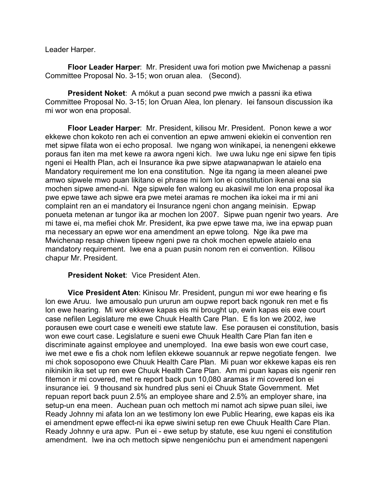Leader Harper.

**Floor Leader Harper**: Mr. President uwa fori motion pwe Mwichenap a passni Committee Proposal No. 3-15; won oruan alea. (Second).

**President Noket**: A mókut a puan second pwe mwich a passni ika etiwa Committee Proposal No. 3-15; lon Oruan Alea, lon plenary. Iei fansoun discussion ika mi wor won ena proposal.

**Floor Leader Harper**: Mr. President, kilisou Mr. President. Ponon kewe a wor ekkewe chon kokoto ren ach ei convention an epwe amweni ekiekin ei convention ren met sipwe filata won ei echo proposal. Iwe ngang won winikapei, ia nenengeni ekkewe poraus fan iten ma met kewe ra awora ngeni kich. Iwe uwa luku nge eni sipwe fen tipis ngeni ei Health Plan, ach ei Insurance ika pwe sipwe atapwanapwan le ataielo ena Mandatory requirement me lon ena constitution. Nge ita ngang ia meen aleanei pwe amwo sipwele mwo puan likitano ei phrase mi lom lon ei constitution ikenai ena sia mochen sipwe amend-ni. Nge sipwele fen walong eu akasiwil me lon ena proposal ika pwe epwe tawe ach sipwe era pwe metei aramas re mochen ika iokei ma ir mi ani complaint ren an ei mandatory ei Insurance ngeni chon angang meinisin. Epwap ponueta metenan ar tungor ika ar mochen lon 2007. Sipwe puan ngenir two years. Are mi tawe ei, ma mefiei chok Mr. President, ika pwe epwe tawe ma, iwe ina epwap puan ma necessary an epwe wor ena amendment an epwe tolong. Nge ika pwe ma Mwichenap resap chiwen tipeew ngeni pwe ra chok mochen epwele ataielo ena mandatory requirement. Iwe ena a puan pusin nonom ren ei convention. Kilisou chapur Mr. President.

**President Noket**: Vice President Aten.

**Vice President Aten**: Kinisou Mr. President, pungun mi wor ewe hearing e fis lon ewe Aruu. Iwe amousalo pun ururun am oupwe report back ngonuk ren met e fis lon ewe hearing. Mi wor ekkewe kapas eis mi brought up, ewin kapas eis ewe court case nefilen Legislature me ewe Chuuk Health Care Plan. E fis lon we 2002, iwe porausen ewe court case e weneiti ewe statute law. Ese porausen ei constitution, basis won ewe court case. Legislature e sueni ewe Chuuk Health Care Plan fan iten e discriminate against employee and unemployed. Ina ewe basis won ewe court case, iwe met ewe e fis a chok nom lefilen ekkewe souannuk ar repwe negotiate fengen. Iwe mi chok soposopono ewe Chuuk Health Care Plan. Mi puan wor ekkewe kapas eis ren nikinikin ika set up ren ewe Chuuk Health Care Plan. Am mi puan kapas eis ngenir ren fitemon ir mi covered, met re report back pun 10,080 aramas ir mi covered lon ei insurance iei. 9 thousand six hundred plus seni ei Chuuk State Government. Met repuan report back puun 2.5% an employee share and 2.5% an employer share, ina setup-un ena meen. Auchean puan och mettoch mi namot ach sipwe puan silei, iwe Ready Johnny mi afata lon an we testimony lon ewe Public Hearing, ewe kapas eis ika ei amendment epwe effect-ni ika epwe siwini setup ren ewe Chuuk Health Care Plan. Ready Johnny e ura apw. Pun ei - ewe setup by statute, ese kuu ngeni ei constitution amendment. Iwe ina och mettoch sipwe nengenióchu pun ei amendment napengeni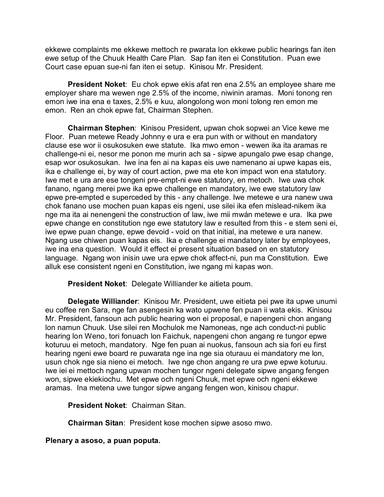ekkewe complaints me ekkewe mettoch re pwarata lon ekkewe public hearings fan iten ewe setup of the Chuuk Health Care Plan. Sap fan iten ei Constitution. Puan ewe Court case epuan sue-ni fan iten ei setup. Kinisou Mr. President.

**President Noket**: Eu chok epwe ekis afat ren ena 2.5% an employee share me employer share ma wewen nge 2.5% of the income, niwinin aramas. Moni tonong ren emon iwe ina ena e taxes, 2.5% e kuu, alongolong won moni tolong ren emon me emon. Ren an chok epwe fat, Chairman Stephen.

**Chairman Stephen**: Kinisou President, upwan chok sopwei an Vice kewe me Floor. Puan metewe Ready Johnny e ura e era pun with or without en mandatory clause ese wor ii osukosuken ewe statute. Ika mwo emon - wewen ika ita aramas re challenge-ni ei, nesor me ponon me murin ach sa - sipwe apungalo pwe esap change, esap wor osukosukan. Iwe ina fen ai na kapas eis uwe namenano ai upwe kapas eis, ika e challenge ei, by way of court action, pwe ma ete kon impact won ena statutory. Iwe met e ura are ese tongeni pre-empt-ni ewe statutory, en metoch. Iwe uwa chok fanano, ngang merei pwe ika epwe challenge en mandatory, iwe ewe statutory law epwe pre-empted e superceded by this - any challenge. Iwe metewe e ura nanew uwa chok fanano use mochen puan kapas eis ngeni, use silei ika efen mislead-nikem ika nge ma ita ai nenengeni the construction of law, iwe mii mwán metewe e ura. Ika pwe epwe change en constitution nge ewe statutory law e resulted from this - e stem seni ei, iwe epwe puan change, epwe devoid - void on that initial, ina metewe e ura nanew. Ngang use chiwen puan kapas eis. Ika e challenge ei mandatory later by employees, iwe ina ena question. Would it effect ei present situation based on en statutory language. Ngang won inisin uwe ura epwe chok affect-ni, pun ma Constitution. Ewe alluk ese consistent ngeni en Constitution, iwe ngang mi kapas won.

**President Noket**: Delegate Williander ke aitieta poum.

**Delegate Williander**: Kinisou Mr. President, uwe eitieta pei pwe ita upwe unumi eu coffee ren Sara, nge fan asengesin ka wato upwene fen puan ii wata ekis. Kinisou Mr. President, fansoun ach public hearing won ei proposal, e napengeni chon angang lon namun Chuuk. Use silei ren Mochulok me Namoneas, nge ach conduct-ni public hearing lon Weno, tori fonuach lon Faichuk, napengeni chon angang re tungor epwe koturuu ei metoch, mandatory. Nge fen puan ai nuokus, fansoun ach sia fori eu first hearing ngeni ewe board re puwarata nge ina nge sia oturauu ei mandatory me lon, usun chok nge sia nieno ei metoch. Iwe nge chon angang re ura pwe epwe koturuu. Iwe iei ei mettoch ngang upwan mochen tungor ngeni delegate sipwe angang fengen won, sipwe ekiekiochu. Met epwe och ngeni Chuuk, met epwe och ngeni ekkewe aramas. Ina metena uwe tungor sipwe angang fengen won, kinisou chapur.

**President Noket**: Chairman Sitan.

**Chairman Sitan**: President kose mochen sipwe asoso mwo.

**Plenary a asoso, a puan poputa.**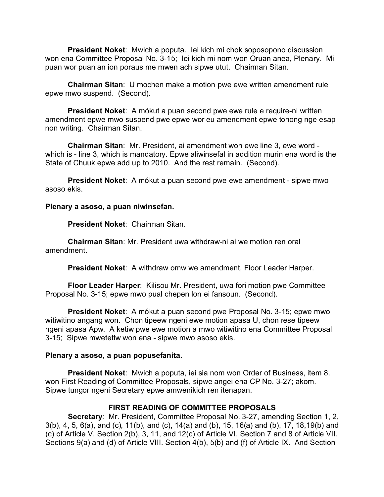**President Noket**: Mwich a poputa. Iei kich mi chok soposopono discussion won ena Committee Proposal No. 3-15; Iei kich mi nom won Oruan anea, Plenary. Mi puan wor puan an ion poraus me mwen ach sipwe utut. Chairman Sitan.

**Chairman Sitan**: U mochen make a motion pwe ewe written amendment rule epwe mwo suspend. (Second).

**President Noket**: A mókut a puan second pwe ewe rule e require-ni written amendment epwe mwo suspend pwe epwe wor eu amendment epwe tonong nge esap non writing. Chairman Sitan.

**Chairman Sitan**: Mr. President, ai amendment won ewe line 3, ewe word which is - line 3, which is mandatory. Epwe aliwinsefal in addition murin ena word is the State of Chuuk epwe add up to 2010. And the rest remain. (Second).

**President Noket**: A mókut a puan second pwe ewe amendment - sipwe mwo asoso ekis.

#### **Plenary a asoso, a puan niwinsefan.**

**President Noket**: Chairman Sitan.

**Chairman Sitan**: Mr. President uwa withdraw-ni ai we motion ren oral amendment.

**President Noket**: A withdraw omw we amendment, Floor Leader Harper.

**Floor Leader Harper**: Kilisou Mr. President, uwa fori motion pwe Committee Proposal No. 3-15; epwe mwo pual chepen lon ei fansoun. (Second).

**President Noket**: A mókut a puan second pwe Proposal No. 3-15; epwe mwo witiwitino angang won. Chon tipeew ngeni ewe motion apasa U, chon rese tipeew ngeni apasa Apw. A ketiw pwe ewe motion a mwo witiwitino ena Committee Proposal 3-15; Sipwe mwetetiw won ena - sipwe mwo asoso ekis.

#### **Plenary a asoso, a puan popusefanita.**

**President Noket**: Mwich a poputa, iei sia nom won Order of Business, item 8. won First Reading of Committee Proposals, sipwe angei ena CP No. 3-27; akom. Sipwe tungor ngeni Secretary epwe amwenikich ren itenapan.

## **FIRST READING OF COMMITTEE PROPOSALS**

**Secretary**: Mr. President, Committee Proposal No. 3-27, amending Section 1, 2, 3(b), 4, 5, 6(a), and (c), 11(b), and (c), 14(a) and (b), 15, 16(a) and (b), 17, 18,19(b) and (c) of Article V. Section 2(b), 3, 11, and 12(c) of Article VI. Section 7 and 8 of Article VII. Sections 9(a) and (d) of Article VIII. Section 4(b), 5(b) and (f) of Article IX. And Section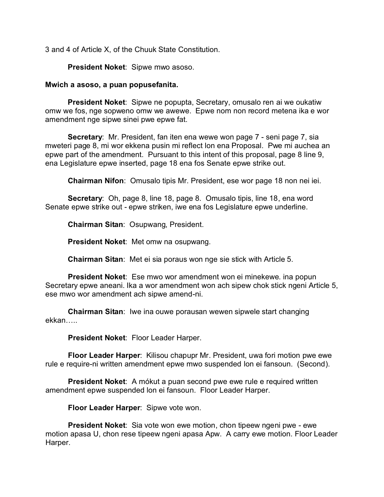3 and 4 of Article X, of the Chuuk State Constitution.

**President Noket**: Sipwe mwo asoso.

#### **Mwich a asoso, a puan popusefanita.**

**President Noket**: Sipwe ne popupta, Secretary, omusalo ren ai we oukatiw omw we fos, nge sopweno omw we awewe. Epwe nom non record metena ika e wor amendment nge sipwe sinei pwe epwe fat.

**Secretary**: Mr. President, fan iten ena wewe won page 7 - seni page 7, sia mweteri page 8, mi wor ekkena pusin mi reflect lon ena Proposal. Pwe mi auchea an epwe part of the amendment. Pursuant to this intent of this proposal, page 8 line 9, ena Legislature epwe inserted, page 18 ena fos Senate epwe strike out.

**Chairman Nifon**: Omusalo tipis Mr. President, ese wor page 18 non nei iei.

**Secretary**: Oh, page 8, line 18, page 8. Omusalo tipis, line 18, ena word Senate epwe strike out - epwe striken, iwe ena fos Legislature epwe underline.

**Chairman Sitan**: Osupwang, President.

**President Noket**: Met omw na osupwang.

**Chairman Sitan**: Met ei sia poraus won nge sie stick with Article 5.

**President Noket**: Ese mwo wor amendment won ei minekewe. ina popun Secretary epwe aneani. Ika a wor amendment won ach sipew chok stick ngeni Article 5, ese mwo wor amendment ach sipwe amend-ni.

**Chairman Sitan**: Iwe ina ouwe porausan wewen sipwele start changing ekkan…..

**President Noket**: Floor Leader Harper.

**Floor Leader Harper**: Kilisou chapupr Mr. President, uwa fori motion pwe ewe rule e require-ni written amendment epwe mwo suspended lon ei fansoun. (Second).

**President Noket**: A mókut a puan second pwe ewe rule e required written amendment epwe suspended lon ei fansoun. Floor Leader Harper.

**Floor Leader Harper**: Sipwe vote won.

**President Noket**: Sia vote won ewe motion, chon tipeew ngeni pwe - ewe motion apasa U, chon rese tipeew ngeni apasa Apw. A carry ewe motion. Floor Leader Harper.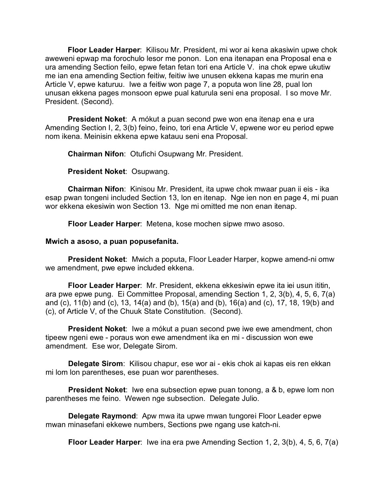**Floor Leader Harper**: Kilisou Mr. President, mi wor ai kena akasiwin upwe chok aweweni epwap ma forochulo lesor me ponon. Lon ena itenapan ena Proposal ena e ura amending Section feilo, epwe fetan fetan tori ena Article V. ina chok epwe ukutiw me ian ena amending Section feitiw, feitiw iwe unusen ekkena kapas me murin ena Article V, epwe katuruu. Iwe a feitiw won page 7, a poputa won line 28, pual lon unusan ekkena pages monsoon epwe pual katurula seni ena proposal. I so move Mr. President. (Second).

**President Noket**: A mókut a puan second pwe won ena itenap ena e ura Amending Section I, 2, 3(b) feino, feino, tori ena Article V, epwene wor eu period epwe nom ikena. Meinisin ekkena epwe katauu seni ena Proposal.

**Chairman Nifon**: Otufichi Osupwang Mr. President.

**President Noket**: Osupwang.

**Chairman Nifon**: Kinisou Mr. President, ita upwe chok mwaar puan ii eis - ika esap pwan tongeni included Section 13, lon en itenap. Nge ien non en page 4, mi puan wor ekkena ekesiwin won Section 13. Nge mi omitted me non enan itenap.

**Floor Leader Harper**: Metena, kose mochen sipwe mwo asoso.

#### **Mwich a asoso, a puan popusefanita.**

**President Noket**: Mwich a poputa, Floor Leader Harper, kopwe amend-ni omw we amendment, pwe epwe included ekkena.

**Floor Leader Harper**: Mr. President, ekkena ekkesiwin epwe ita iei usun ititin, ara pwe epwe pung. Ei Committee Proposal, amending Section 1, 2, 3(b), 4, 5, 6, 7(a) and (c), 11(b) and (c), 13, 14(a) and (b), 15(a) and (b), 16(a) and (c), 17, 18, 19(b) and (c), of Article V, of the Chuuk State Constitution. (Second).

**President Noket**: Iwe a mókut a puan second pwe iwe ewe amendment, chon tipeew ngeni ewe - poraus won ewe amendment ika en mi - discussion won ewe amendment. Ese wor, Delegate Sirom.

**Delegate Sirom**: Kilisou chapur, ese wor ai - ekis chok ai kapas eis ren ekkan mi lom lon parentheses, ese puan wor parentheses.

**President Noket**: Iwe ena subsection epwe puan tonong, a & b, epwe lom non parentheses me feino. Wewen nge subsection. Delegate Julio.

**Delegate Raymond**: Apw mwa ita upwe mwan tungorei Floor Leader epwe mwan minasefani ekkewe numbers, Sections pwe ngang use katch-ni.

**Floor Leader Harper**: Iwe ina era pwe Amending Section 1, 2, 3(b), 4, 5, 6, 7(a)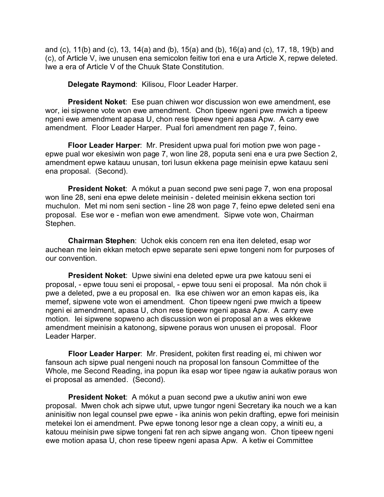and (c), 11(b) and (c), 13, 14(a) and (b), 15(a) and (b), 16(a) and (c), 17, 18, 19(b) and (c), of Article V, iwe unusen ena semicolon feitiw tori ena e ura Article X, repwe deleted. Iwe a era of Article V of the Chuuk State Constitution.

**Delegate Raymond**: Kilisou, Floor Leader Harper.

**President Noket**: Ese puan chiwen wor discussion won ewe amendment, ese wor, iei sipwene vote won ewe amendment. Chon tipeew ngeni pwe mwich a tipeew ngeni ewe amendment apasa U, chon rese tipeew ngeni apasa Apw. A carry ewe amendment. Floor Leader Harper. Pual fori amendment ren page 7, feino.

**Floor Leader Harper**: Mr. President upwa pual fori motion pwe won page epwe pual wor ekesiwin won page 7, won line 28, poputa seni ena e ura pwe Section 2, amendment epwe katauu unusan, tori lusun ekkena page meinisin epwe katauu seni ena proposal. (Second).

**President Noket**: A mókut a puan second pwe seni page 7, won ena proposal won line 28, seni ena epwe delete meinisin - deleted meinisin ekkena section tori muchulon. Met mi nom seni section - line 28 won page 7, feino epwe deleted seni ena proposal. Ese wor e - mefian won ewe amendment. Sipwe vote won, Chairman Stephen.

**Chairman Stephen**: Uchok ekis concern ren ena iten deleted, esap wor auchean me lein ekkan metoch epwe separate seni epwe tongeni nom for purposes of our convention.

**President Noket**: Upwe siwini ena deleted epwe ura pwe katouu seni ei proposal, - epwe touu seni ei proposal, - epwe touu seni ei proposal. Ma nón chok ii pwe a deleted, pwe a eu proposal en. Ika ese chiwen wor an emon kapas eis, ika memef, sipwene vote won ei amendment. Chon tipeew ngeni pwe mwich a tipeew ngeni ei amendment, apasa U, chon rese tipeew ngeni apasa Apw. A carry ewe motion. Iei sipwene sopweno ach discussion won ei proposal an a wes ekkewe amendment meinisin a katonong, sipwene poraus won unusen ei proposal. Floor Leader Harper.

**Floor Leader Harper**: Mr. President, pokiten first reading ei, mi chiwen wor fansoun ach sipwe pual nengeni nouch na proposal lon fansoun Committee of the Whole, me Second Reading, ina popun ika esap wor tipee ngaw ia aukatiw poraus won ei proposal as amended. (Second).

**President Noket**: A mókut a puan second pwe a ukutiw anini won ewe proposal. Mwen chok ach sipwe utut, upwe tungor ngeni Secretary ika nouch we a kan aninisitiw non legal counsel pwe epwe - ika aninis won pekin drafting, epwe fori meinisin metekei lon ei amendment. Pwe epwe tonong lesor nge a clean copy, a winiti eu, a katouu meinisin pwe sipwe tongeni fat ren ach sipwe angang won. Chon tipeew ngeni ewe motion apasa U, chon rese tipeew ngeni apasa Apw. A ketiw ei Committee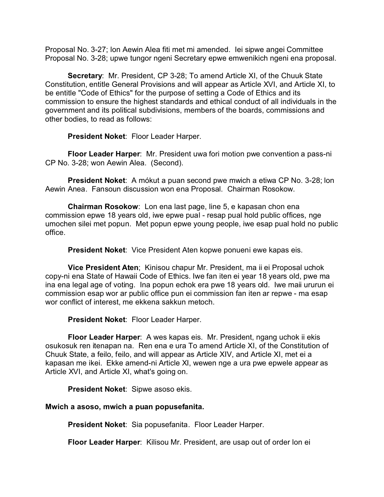Proposal No. 3-27; lon Aewin Alea fiti met mi amended. Iei sipwe angei Committee Proposal No. 3-28; upwe tungor ngeni Secretary epwe emwenikich ngeni ena proposal.

**Secretary**: Mr. President, CP 3-28; To amend Article XI, of the Chuuk State Constitution, entitle General Provisions and will appear as Article XVI, and Article XI, to be entitle "Code of Ethics" for the purpose of setting a Code of Ethics and its commission to ensure the highest standards and ethical conduct of all individuals in the government and its political subdivisions, members of the boards, commissions and other bodies, to read as follows:

**President Noket**: Floor Leader Harper.

**Floor Leader Harper**: Mr. President uwa fori motion pwe convention a pass-ni CP No. 3-28; won Aewin Alea. (Second).

**President Noket**: A mókut a puan second pwe mwich a etiwa CP No. 3-28; lon Aewin Anea. Fansoun discussion won ena Proposal. Chairman Rosokow.

**Chairman Rosokow**: Lon ena last page, line 5, e kapasan chon ena commission epwe 18 years old, iwe epwe pual - resap pual hold public offices, nge umochen silei met popun. Met popun epwe young people, iwe esap pual hold no public office.

**President Noket**: Vice President Aten kopwe ponueni ewe kapas eis.

**Vice President Aten**; Kinisou chapur Mr. President, ma ii ei Proposal uchok copy-ni ena State of Hawaii Code of Ethics. Iwe fan iten ei year 18 years old, pwe ma ina ena legal age of voting. Ina popun echok era pwe 18 years old. Iwe maii ururun ei commission esap wor ar public office pun ei commission fan iten ar repwe - ma esap wor conflict of interest, me ekkena sakkun metoch.

**President Noket**: Floor Leader Harper.

**Floor Leader Harper**: A wes kapas eis. Mr. President, ngang uchok ii ekis osukosuk ren itenapan na. Ren ena e ura To amend Article XI, of the Constitution of Chuuk State, a feilo, feilo, and will appear as Article XIV, and Article XI, met ei a kapasan me ikei. Ekke amend-ni Article XI, wewen nge a ura pwe epwele appear as Article XVI, and Article XI, what's going on.

**President Noket**: Sipwe asoso ekis.

## **Mwich a asoso, mwich a puan popusefanita.**

**President Noket**: Sia popusefanita. Floor Leader Harper.

**Floor Leader Harper**: Kilisou Mr. President, are usap out of order lon ei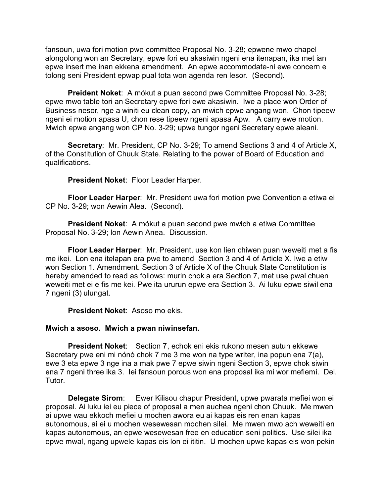fansoun, uwa fori motion pwe committee Proposal No. 3-28; epwene mwo chapel alongolong won an Secretary, epwe fori eu akasiwin ngeni ena itenapan, ika met ian epwe insert me inan ekkena amendment. An epwe accommodate-ni ewe concern e tolong seni President epwap pual tota won agenda ren lesor. (Second).

**Preident Noket**: A mókut a puan second pwe Committee Proposal No. 3-28; epwe mwo table tori an Secretary epwe fori ewe akasiwin. Iwe a place won Order of Business nesor, nge a winiti eu clean copy, an mwich epwe angang won. Chon tipeew ngeni ei motion apasa U, chon rese tipeew ngeni apasa Apw. A carry ewe motion. Mwich epwe angang won CP No. 3-29; upwe tungor ngeni Secretary epwe aleani.

**Secretary**: Mr. President, CP No. 3-29; To amend Sections 3 and 4 of Article X, of the Constitution of Chuuk State. Relating to the power of Board of Education and qualifications.

**President Noket**: Floor Leader Harper.

**Floor Leader Harper**: Mr. President uwa fori motion pwe Convention a etiwa ei CP No. 3-29; won Aewin Alea. (Second).

**President Noket**: A mókut a puan second pwe mwich a etiwa Committee Proposal No. 3-29; lon Aewin Anea. Discussion.

**Floor Leader Harper**: Mr. President, use kon lien chiwen puan weweiti met a fis me ikei. Lon ena itelapan era pwe to amend Section 3 and 4 of Article X. Iwe a etiw won Section 1. Amendment. Section 3 of Article X of the Chuuk State Constitution is hereby amended to read as follows: murin chok a era Section 7, met use pwal chuen weweiti met ei e fis me kei. Pwe ita ururun epwe era Section 3. Ai luku epwe siwil ena 7 ngeni (3) ulungat.

**President Noket**: Asoso mo ekis.

#### **Mwich a asoso. Mwich a pwan niwinsefan.**

**President Noket**: Section 7, echok eni ekis rukono mesen autun ekkewe Secretary pwe eni mi nónó chok 7 me 3 me won na type writer, ina popun ena 7(a), ewe 3 eta epwe 3 nge ina a mak pwe 7 epwe siwin ngeni Section 3, epwe chok siwin ena 7 ngeni three ika 3. Iei fansoun porous won ena proposal ika mi wor mefiemi. Del. Tutor.

**Delegate Sirom**: Ewer Kilisou chapur President, upwe pwarata mefiei won ei proposal. Ai luku iei eu piece of proposal a men auchea ngeni chon Chuuk. Me mwen ai upwe wau ekkoch mefiei u mochen awora eu ai kapas eis ren enan kapas autonomous, ai ei u mochen wesewesan mochen silei. Me mwen mwo ach weweiti en kapas autonomous, an epwe wesewesan free en education seni politics. Use silei ika epwe mwal, ngang upwele kapas eis lon ei ititin. U mochen upwe kapas eis won pekin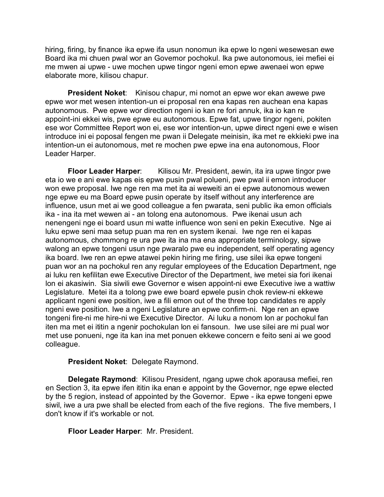hiring, firing, by finance ika epwe ifa usun nonomun ika epwe lo ngeni wesewesan ewe Board ika mi chuen pwal wor an Governor pochokul. Ika pwe autonomous, iei mefiei ei me mwen ai upwe - uwe mochen upwe tingor ngeni emon epwe awenaei won epwe elaborate more, kilisou chapur.

**President Noket:** Kinisou chapur, mi nomot an epwe wor ekan awewe pwe epwe wor met wesen intention-un ei proposal ren ena kapas ren auchean ena kapas autonomous. Pwe epwe wor direction ngeni io kan re fori annuk, ika io kan re appoint-ini ekkei wis, pwe epwe eu autonomous. Epwe fat, upwe tingor ngeni, pokiten ese wor Committee Report won ei, ese wor intention-un, upwe direct ngeni ewe e wisen introduce ini ei poposal fengen me pwan ii Delegate meinisin, ika met re ekkieki pwe ina intention-un ei autonomous, met re mochen pwe epwe ina ena autonomous, Floor Leader Harper.

**Floor Leader Harper**: Kilisou Mr. President, aewin, ita ira upwe tingor pwe eta io we e ani ewe kapas eis epwe pusin pwal polueni, pwe pwal ii emon introducer won ewe proposal. Iwe nge ren ma met ita ai weweiti an ei epwe autonomous wewen nge epwe eu ma Board epwe pusin operate by itself without any interference are influence, usun met ai we good colleague a fen pwarata, seni public ika emon officials ika - ina ita met wewen ai - an tolong ena autonomous. Pwe ikenai usun ach nenengeni nge ei board usun mi watte influence won seni en pekin Executive. Nge ai luku epwe seni maa setup puan ma ren en system ikenai. Iwe nge ren ei kapas autonomous, chommong re ura pwe ita ina ma ena appropriate terminology, sipwe walong an epwe tongeni usun nge pwaralo pwe eu independent, self operating agency ika board. Iwe ren an epwe atawei pekin hiring me firing, use silei ika epwe tongeni puan wor an na pochokul ren any regular employees of the Education Department, nge ai luku ren kefilitan ewe Executive Director of the Department, iwe metei sia fori ikenai lon ei akasiwin. Sia siwili ewe Governor e wisen appoint-ni ewe Executive iwe a wattiw Legislature. Metei ita a tolong pwe ewe board epwele pusin chok review-ni ekkewe applicant ngeni ewe position, iwe a fili emon out of the three top candidates re apply ngeni ewe position. Iwe a ngeni Legislature an epwe confirm-ni. Nge ren an epwe tongeni fire-ni me hire-ni we Executive Director. Ai luku a nonom lon ar pochokul fan iten ma met ei ititin a ngenir pochokulan lon ei fansoun. Iwe use silei are mi pual wor met use ponueni, nge ita kan ina met ponuen ekkewe concern e feito seni ai we good colleague.

## **President Noket**: Delegate Raymond.

**Delegate Raymond**: Kilisou President, ngang upwe chok aporausa mefiei, ren en Section 3, ita epwe ifen ititin ika enan e appoint by the Governor, nge epwe elected by the 5 region, instead of appointed by the Governor. Epwe - ika epwe tongeni epwe siwil, iwe a ura pwe shall be elected from each of the five regions. The five members, I don't know if it's workable or not.

# **Floor Leader Harper**: Mr. President.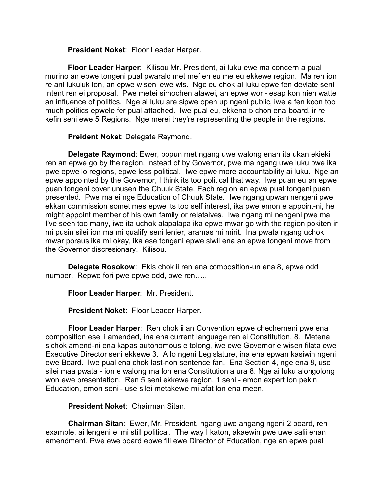**President Noket**: Floor Leader Harper.

**Floor Leader Harper**: Kilisou Mr. President, ai luku ewe ma concern a pual murino an epwe tongeni pual pwaralo met mefien eu me eu ekkewe region. Ma ren ion re ani lukuluk lon, an epwe wiseni ewe wis. Nge eu chok ai luku epwe fen deviate seni intent ren ei proposal. Pwe metei simochen atawei, an epwe wor - esap kon nien watte an influence of politics. Nge ai luku are sipwe open up ngeni public, iwe a fen koon too much politics epwele fer pual attached. Iwe pual eu, ekkena 5 chon ena board, ir re kefin seni ewe 5 Regions. Nge merei they're representing the people in the regions.

**Preident Noket**: Delegate Raymond.

**Delegate Raymond**: Ewer, popun met ngang uwe walong enan ita ukan ekieki ren an epwe go by the region, instead of by Governor, pwe ma ngang uwe luku pwe ika pwe epwe lo regions, epwe less political. Iwe epwe more accountability ai luku. Nge an epwe appointed by the Governor, I think its too political that way. Iwe puan eu an epwe puan tongeni cover unusen the Chuuk State. Each region an epwe pual tongeni puan presented. Pwe ma ei nge Education of Chuuk State. Iwe ngang upwan nengeni pwe ekkan commission sometimes epwe its too self interest, ika pwe emon e appoint-ni, he might appoint member of his own family or relataives. Iwe ngang mi nengeni pwe ma I've seen too many, iwe ita uchok alapalapa ika epwe mwar go with the region pokiten ir mi pusin silei ion ma mi qualify seni lenier, aramas mi mirit. Ina pwata ngang uchok mwar poraus ika mi okay, ika ese tongeni epwe siwil ena an epwe tongeni move from the Governor discresionary. Kilisou.

**Delegate Rosokow**: Ekis chok ii ren ena composition-un ena 8, epwe odd number. Repwe fori pwe epwe odd, pwe ren…..

**Floor Leader Harper**: Mr. President.

**President Noket**: Floor Leader Harper.

**Floor Leader Harper**: Ren chok ii an Convention epwe chechemeni pwe ena composition ese ii amended, ina ena current language ren ei Constitution, 8. Metena sichok amend-ni ena kapas autonomous e tolong, iwe ewe Governor e wisen filata ewe Executive Director seni ekkewe 3. A lo ngeni Legislature, ina ena epwan kasiwin ngeni ewe Board. Iwe pual ena chok last-non sentence fan. Ena Section 4, nge ena 8, use silei maa pwata - ion e walong ma lon ena Constitution a ura 8. Nge ai luku alongolong won ewe presentation. Ren 5 seni ekkewe region, 1 seni - emon expert lon pekin Education, emon seni - use silei metakewe mi afat lon ena meen.

#### **President Noket**: Chairman Sitan.

**Chairman Sitan**: Ewer, Mr. President, ngang uwe angang ngeni 2 board, ren example, ai lengeni ei mi still political. The way I katon, akaewin pwe uwe salii enan amendment. Pwe ewe board epwe fili ewe Director of Education, nge an epwe pual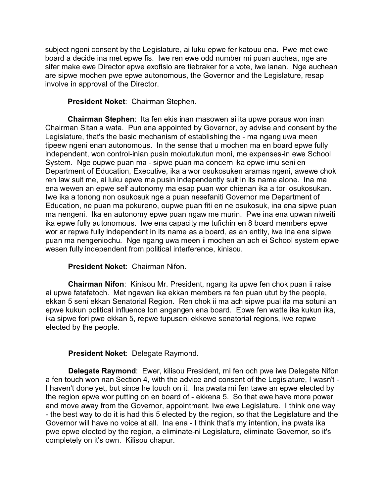subject ngeni consent by the Legislature, ai luku epwe fer katouu ena. Pwe met ewe board a decide ina met epwe fis. Iwe ren ewe odd number mi puan auchea, nge are sifer make ewe Director epwe exofisio are tiebraker for a vote, iwe ianan. Nge auchean are sipwe mochen pwe epwe autonomous, the Governor and the Legislature, resap involve in approval of the Director.

#### **President Noket**: Chairman Stephen.

**Chairman Stephen**: Ita fen ekis inan masowen ai ita upwe poraus won inan Chairman Sitan a wata. Pun ena appointed by Governor, by advise and consent by the Legislature, that's the basic mechanism of establishing the - ma ngang uwa meen tipeew ngeni enan autonomous. In the sense that u mochen ma en board epwe fully independent, won control-inian pusin mokutukutun moni, me expenses-in ewe School System. Nge oupwe puan ma - sipwe puan ma concern ika epwe imu seni en Department of Education, Executive, ika a wor osukosuken aramas ngeni, awewe chok ren law suit me, ai luku epwe ma pusin independently suit in its name alone. Ina ma ena wewen an epwe self autonomy ma esap puan wor chienan ika a tori osukosukan. Iwe ika a tonong non osukosuk nge a puan nesefaniti Governor me Department of Education, ne puan ma pokureno, oupwe puan fiti en ne osukosuk, ina ena sipwe puan ma nengeni. Ika en autonomy epwe puan ngaw me murin. Pwe ina ena upwan niweiti ika epwe fully autonomous. Iwe ena capacity me tufichin en 8 board members epwe wor ar repwe fully independent in its name as a board, as an entity, iwe ina ena sipwe puan ma nengeniochu. Nge ngang uwa meen ii mochen an ach ei School system epwe wesen fully independent from political interference, kinisou.

## **President Noket**: Chairman Nifon.

**Chairman Nifon**: Kinisou Mr. President, ngang ita upwe fen chok puan ii raise ai upwe fatafatoch. Met ngawan ika ekkan members ra fen puan utut by the people, ekkan 5 seni ekkan Senatorial Region. Ren chok ii ma ach sipwe pual ita ma sotuni an epwe kukun political influence lon angangen ena board. Epwe fen watte ika kukun ika, ika sipwe fori pwe ekkan 5, repwe tupuseni ekkewe senatorial regions, iwe repwe elected by the people.

## **President Noket**: Delegate Raymond.

**Delegate Raymond**: Ewer, kilisou President, mi fen och pwe iwe Delegate Nifon a fen touch won nan Section 4, with the advice and consent of the Legislature, I wasn't - I haven't done yet, but since he touch on it. Ina pwata mi fen tawe an epwe elected by the region epwe wor putting on en board of - ekkena 5. So that ewe have more power and move away from the Governor, appointment. Iwe ewe Legislature. I think one way - the best way to do it is had this 5 elected by the region, so that the Legislature and the Governor will have no voice at all. Ina ena - I think that's my intention, ina pwata ika pwe epwe elected by the region, a eliminate-ni Legislature, eliminate Governor, so it's completely on it's own. Kilisou chapur.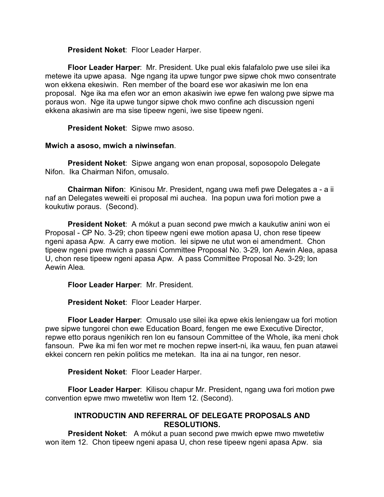**President Noket**: Floor Leader Harper.

**Floor Leader Harper**: Mr. President. Uke pual ekis falafalolo pwe use silei ika metewe ita upwe apasa. Nge ngang ita upwe tungor pwe sipwe chok mwo consentrate won ekkena ekesiwin. Ren member of the board ese wor akasiwin me lon ena proposal. Nge ika ma efen wor an emon akasiwin iwe epwe fen walong pwe sipwe ma poraus won. Nge ita upwe tungor sipwe chok mwo confine ach discussion ngeni ekkena akasiwin are ma sise tipeew ngeni, iwe sise tipeew ngeni.

**President Noket**: Sipwe mwo asoso.

# **Mwich a asoso, mwich a niwinsefan**.

**President Noket**: Sipwe angang won enan proposal, soposopolo Delegate Nifon. Ika Chairman Nifon, omusalo.

**Chairman Nifon**: Kinisou Mr. President, ngang uwa mefi pwe Delegates a - a ii naf an Delegates weweiti ei proposal mi auchea. Ina popun uwa fori motion pwe a koukutiw poraus. (Second).

**President Noket**: A mókut a puan second pwe mwich a kaukutiw anini won ei Proposal - CP No. 3-29; chon tipeew ngeni ewe motion apasa U, chon rese tipeew ngeni apasa Apw. A carry ewe motion. Iei sipwe ne utut won ei amendment. Chon tipeew ngeni pwe mwich a passni Committee Proposal No. 3-29, lon Aewin Alea, apasa U, chon rese tipeew ngeni apasa Apw. A pass Committee Proposal No. 3-29; lon Aewin Alea.

**Floor Leader Harper**: Mr. President.

**President Noket**: Floor Leader Harper.

**Floor Leader Harper**: Omusalo use silei ika epwe ekis leniengaw ua fori motion pwe sipwe tungorei chon ewe Education Board, fengen me ewe Executive Director, repwe etto poraus ngenikich ren lon eu fansoun Committee of the Whole, ika meni chok fansoun. Pwe ika mi fen wor met re mochen repwe insert-ni, ika wauu, fen puan atawei ekkei concern ren pekin politics me metekan. Ita ina ai na tungor, ren nesor.

**President Noket**: Floor Leader Harper.

**Floor Leader Harper**: Kilisou chapur Mr. President, ngang uwa fori motion pwe convention epwe mwo mwetetiw won Item 12. (Second).

# **INTRODUCTIN AND REFERRAL OF DELEGATE PROPOSALS AND RESOLUTIONS.**

**President Noket**: A mókut a puan second pwe mwich epwe mwo mwetetiw won item 12. Chon tipeew ngeni apasa U, chon rese tipeew ngeni apasa Apw. sia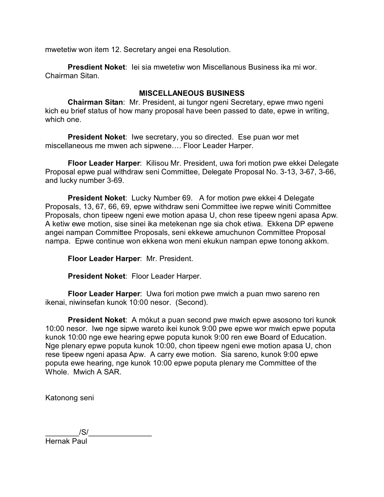mwetetiw won item 12. Secretary angei ena Resolution.

**Presdient Noket**: Iei sia mwetetiw won Miscellanous Business ika mi wor. Chairman Sitan.

## **MISCELLANEOUS BUSINESS**

**Chairman Sitan**: Mr. President, ai tungor ngeni Secretary, epwe mwo ngeni kich eu brief status of how many proposal have been passed to date, epwe in writing, which one.

**President Noket**: Iwe secretary, you so directed. Ese puan wor met miscellaneous me mwen ach sipwene…. Floor Leader Harper.

**Floor Leader Harper**: Kilisou Mr. President, uwa fori motion pwe ekkei Delegate Proposal epwe pual withdraw seni Committee, Delegate Proposal No. 3-13, 3-67, 3-66, and lucky number 3-69.

**President Noket**: Lucky Number 69. A for motion pwe ekkei 4 Delegate Proposals, 13, 67, 66, 69, epwe withdraw seni Committee iwe repwe winiti Committee Proposals, chon tipeew ngeni ewe motion apasa U, chon rese tipeew ngeni apasa Apw. A ketiw ewe motion, sise sinei ika metekenan nge sia chok etiwa. Ekkena DP epwene angei nampan Committee Proposals, seni ekkewe amuchunon Committee Proposal nampa. Epwe continue won ekkena won meni ekukun nampan epwe tonong akkom.

**Floor Leader Harper**: Mr. President.

**President Noket**: Floor Leader Harper.

**Floor Leader Harper**: Uwa fori motion pwe mwich a puan mwo sareno ren ikenai, niwinsefan kunok 10:00 nesor. (Second).

**President Noket**: A mókut a puan second pwe mwich epwe asosono tori kunok 10:00 nesor. Iwe nge sipwe wareto ikei kunok 9:00 pwe epwe wor mwich epwe poputa kunok 10:00 nge ewe hearing epwe poputa kunok 9:00 ren ewe Board of Education. Nge plenary epwe poputa kunok 10:00, chon tipeew ngeni ewe motion apasa U, chon rese tipeew ngeni apasa Apw. A carry ewe motion. Sia sareno, kunok 9:00 epwe poputa ewe hearing, nge kunok 10:00 epwe poputa plenary me Committee of the Whole. Mwich A SAR.

Katonong seni

 $\frac{1}{S}$ /S/ $\frac{1}{S}$ Hernak Paul